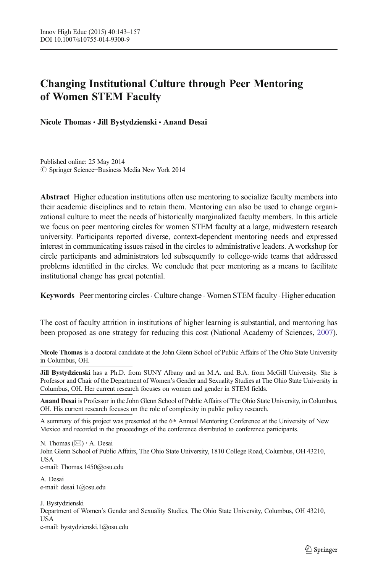# Changing Institutional Culture through Peer Mentoring of Women STEM Faculty

Nicole Thomas · Jill Bystydzienski · Anand Desai

Published online: 25 May 2014  $\oslash$  Springer Science+Business Media New York 2014

Abstract Higher education institutions often use mentoring to socialize faculty members into their academic disciplines and to retain them. Mentoring can also be used to change organizational culture to meet the needs of historically marginalized faculty members. In this article we focus on peer mentoring circles for women STEM faculty at a large, midwestern research university. Participants reported diverse, context-dependent mentoring needs and expressed interest in communicating issues raised in the circles to administrative leaders. A workshop for circle participants and administrators led subsequently to college-wide teams that addressed problems identified in the circles. We conclude that peer mentoring as a means to facilitate institutional change has great potential.

Keywords Peer mentoring circles · Culture change · Women STEM faculty · Higher education

The cost of faculty attrition in institutions of higher learning is substantial, and mentoring has been proposed as one strategy for reducing this cost (National Academy of Sciences, [2007](#page-14-0)).

Nicole Thomas is a doctoral candidate at the John Glenn School of Public Affairs of The Ohio State University in Columbus, OH.

Jill Bystydzienski has a Ph.D. from SUNY Albany and an M.A. and B.A. from McGill University. She is Professor and Chair of the Department of Women's Gender and Sexuality Studies at The Ohio State University in Columbus, OH. Her current research focuses on women and gender in STEM fields.

Anand Desai is Professor in the John Glenn School of Public Affairs of The Ohio State University, in Columbus, OH. His current research focuses on the role of complexity in public policy research.

A summary of this project was presented at the 6th Annual Mentoring Conference at the University of New Mexico and recorded in the proceedings of the conference distributed to conference participants.

N. Thomas  $(\boxtimes) \cdot A$ . Desai John Glenn School of Public Affairs, The Ohio State University, 1810 College Road, Columbus, OH 43210, **USA** e-mail: Thomas.1450@osu.edu

A. Desai e-mail: desai.1@osu.edu

J. Bystydzienski Department of Women's Gender and Sexuality Studies, The Ohio State University, Columbus, OH 43210, USA e-mail: bystydzienski.1@osu.edu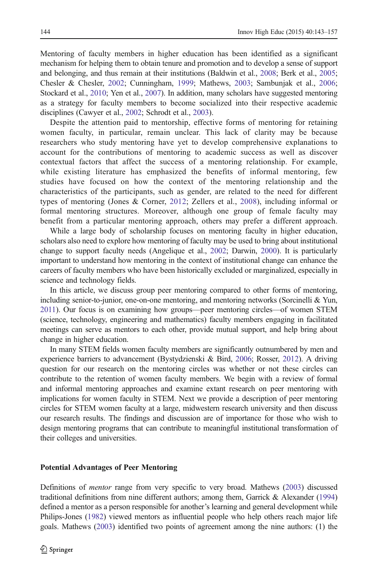Mentoring of faculty members in higher education has been identified as a significant mechanism for helping them to obtain tenure and promotion and to develop a sense of support and belonging, and thus remain at their institutions (Baldwin et al., [2008](#page-12-0); Berk et al., [2005](#page-12-0); Chesler & Chesler, [2002;](#page-13-0) Cunningham, [1999](#page-13-0); Mathews, [2003;](#page-13-0) Sambunjak et al., [2006](#page-14-0); Stockard et al., [2010](#page-14-0); Yen et al., [2007](#page-14-0)). In addition, many scholars have suggested mentoring as a strategy for faculty members to become socialized into their respective academic disciplines (Cawyer et al., [2002;](#page-13-0) Schrodt et al., [2003\)](#page-14-0).

Despite the attention paid to mentorship, effective forms of mentoring for retaining women faculty, in particular, remain unclear. This lack of clarity may be because researchers who study mentoring have yet to develop comprehensive explanations to account for the contributions of mentoring to academic success as well as discover contextual factors that affect the success of a mentoring relationship. For example, while existing literature has emphasized the benefits of informal mentoring, few studies have focused on how the context of the mentoring relationship and the characteristics of the participants, such as gender, are related to the need for different types of mentoring (Jones & Corner, [2012;](#page-13-0) Zellers et al., [2008\)](#page-14-0), including informal or formal mentoring structures. Moreover, although one group of female faculty may benefit from a particular mentoring approach, others may prefer a different approach.

While a large body of scholarship focuses on mentoring faculty in higher education, scholars also need to explore how mentoring of faculty may be used to bring about institutional change to support faculty needs (Angelique et al., [2002](#page-12-0); Darwin, [2000\)](#page-13-0). It is particularly important to understand how mentoring in the context of institutional change can enhance the careers of faculty members who have been historically excluded or marginalized, especially in science and technology fields.

In this article, we discuss group peer mentoring compared to other forms of mentoring, including senior-to-junior, one-on-one mentoring, and mentoring networks (Sorcinelli & Yun, [2011\)](#page-14-0). Our focus is on examining how groups—peer mentoring circles—of women STEM (science, technology, engineering and mathematics) faculty members engaging in facilitated meetings can serve as mentors to each other, provide mutual support, and help bring about change in higher education.

In many STEM fields women faculty members are significantly outnumbered by men and experience barriers to advancement (Bystydzienski & Bird, [2006;](#page-13-0) Rosser, [2012](#page-14-0)). A driving question for our research on the mentoring circles was whether or not these circles can contribute to the retention of women faculty members. We begin with a review of formal and informal mentoring approaches and examine extant research on peer mentoring with implications for women faculty in STEM. Next we provide a description of peer mentoring circles for STEM women faculty at a large, midwestern research university and then discuss our research results. The findings and discussion are of importance for those who wish to design mentoring programs that can contribute to meaningful institutional transformation of their colleges and universities.

# Potential Advantages of Peer Mentoring

Definitions of mentor range from very specific to very broad. Mathews ([2003](#page-13-0)) discussed traditional definitions from nine different authors; among them, Garrick & Alexander [\(1994\)](#page-13-0) defined a mentor as a person responsible for another's learning and general development while Philips-Jones ([1982](#page-14-0)) viewed mentors as influential people who help others reach major life goals. Mathews [\(2003\)](#page-13-0) identified two points of agreement among the nine authors: (1) the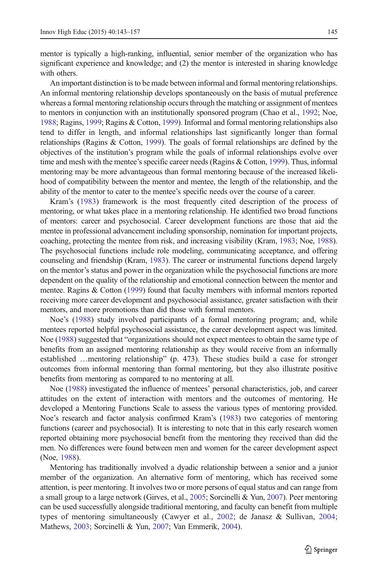with others.

mentor is typically a high-ranking, influential, senior member of the organization who has significant experience and knowledge; and (2) the mentor is interested in sharing knowledge

An important distinction is to be made between informal and formal mentoring relationships. An informal mentoring relationship develops spontaneously on the basis of mutual preference whereas a formal mentoring relationship occurs through the matching or assignment of mentees to mentors in conjunction with an institutionally sponsored program (Chao et al., [1992;](#page-13-0) Noe, [1988](#page-14-0); Ragins, [1999](#page-14-0); Ragins & Cotton, [1999](#page-14-0)). Informal and formal mentoring relationships also tend to differ in length, and informal relationships last significantly longer than formal relationships (Ragins & Cotton, [1999\)](#page-14-0). The goals of formal relationships are defined by the objectives of the institution's program while the goals of informal relationships evolve over time and mesh with the mentee's specific career needs (Ragins & Cotton, [1999](#page-14-0)). Thus, informal mentoring may be more advantageous than formal mentoring because of the increased likelihood of compatibility between the mentor and mentee, the length of the relationship, and the ability of the mentor to cater to the mentee's specific needs over the course of a career.

Kram's ([1983\)](#page-13-0) framework is the most frequently cited description of the process of mentoring, or what takes place in a mentoring relationship. He identified two broad functions of mentors: career and psychosocial. Career development functions are those that aid the mentee in professional advancement including sponsorship, nomination for important projects, coaching, protecting the mentee from risk, and increasing visibility (Kram, [1983;](#page-13-0) Noe, [1988](#page-14-0)). The psychosocial functions include role modeling, communicating acceptance, and offering counseling and friendship (Kram, [1983\)](#page-13-0). The career or instrumental functions depend largely on the mentor's status and power in the organization while the psychosocial functions are more dependent on the quality of the relationship and emotional connection between the mentor and mentee. Ragins & Cotton [\(1999\)](#page-14-0) found that faculty members with informal mentors reported receiving more career development and psychosocial assistance, greater satisfaction with their mentors, and more promotions than did those with formal mentors.

Noe's [\(1988\)](#page-14-0) study involved participants of a formal mentoring program; and, while mentees reported helpful psychosocial assistance, the career development aspect was limited. Noe [\(1988\)](#page-14-0) suggested that "organizations should not expect mentees to obtain the same type of benefits from an assigned mentoring relationship as they would receive from an informally established …mentoring relationship" (p. 473). These studies build a case for stronger outcomes from informal mentoring than formal mentoring, but they also illustrate positive benefits from mentoring as compared to no mentoring at all.

Noe [\(1988\)](#page-14-0) investigated the influence of mentees' personal characteristics, job, and career attitudes on the extent of interaction with mentors and the outcomes of mentoring. He developed a Mentoring Functions Scale to assess the various types of mentoring provided. Noe's research and factor analysis confirmed Kram's ([1983](#page-13-0)) two categories of mentoring functions (career and psychosocial). It is interesting to note that in this early research women reported obtaining more psychosocial benefit from the mentoring they received than did the men. No differences were found between men and women for the career development aspect (Noe, [1988\)](#page-14-0).

Mentoring has traditionally involved a dyadic relationship between a senior and a junior member of the organization. An alternative form of mentoring, which has received some attention, is peer mentoring. It involves two or more persons of equal status and can range from a small group to a large network (Girves, et al., [2005](#page-13-0); Sorcinelli & Yun, [2007\)](#page-14-0). Peer mentoring can be used successfully alongside traditional mentoring, and faculty can benefit from multiple types of mentoring simultaneously (Cawyer et al., [2002;](#page-13-0) de Janasz & Sullivan, [2004;](#page-13-0) Mathews, [2003](#page-13-0); Sorcinelli & Yun, [2007](#page-14-0); Van Emmerik, [2004](#page-14-0)).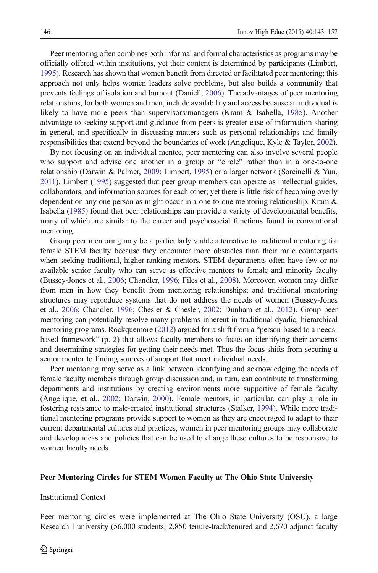Peer mentoring often combines both informal and formal characteristics as programs may be officially offered within institutions, yet their content is determined by participants (Limbert, [1995](#page-13-0)). Research has shown that women benefit from directed or facilitated peer mentoring; this approach not only helps women leaders solve problems, but also builds a community that prevents feelings of isolation and burnout (Daniell, [2006](#page-13-0)). The advantages of peer mentoring relationships, for both women and men, include availability and access because an individual is likely to have more peers than supervisors/managers (Kram & Isabella, [1985](#page-13-0)). Another advantage to seeking support and guidance from peers is greater ease of information sharing in general, and specifically in discussing matters such as personal relationships and family responsibilities that extend beyond the boundaries of work (Angelique, Kyle & Taylor, [2002](#page-12-0)).

By not focusing on an individual mentee, peer mentoring can also involve several people who support and advise one another in a group or "circle" rather than in a one-to-one relationship (Darwin & Palmer, [2009](#page-13-0); Limbert, [1995\)](#page-13-0) or a larger network (Sorcinelli & Yun, [2011\)](#page-14-0). Limbert [\(1995\)](#page-13-0) suggested that peer group members can operate as intellectual guides, collaborators, and information sources for each other; yet there is little risk of becoming overly dependent on any one person as might occur in a one-to-one mentoring relationship. Kram & Isabella ([1985](#page-13-0)) found that peer relationships can provide a variety of developmental benefits, many of which are similar to the career and psychosocial functions found in conventional mentoring.

Group peer mentoring may be a particularly viable alternative to traditional mentoring for female STEM faculty because they encounter more obstacles than their male counterparts when seeking traditional, higher-ranking mentors. STEM departments often have few or no available senior faculty who can serve as effective mentors to female and minority faculty (Bussey-Jones et al., [2006](#page-13-0); Chandler, [1996;](#page-13-0) Files et al., [2008\)](#page-13-0). Moreover, women may differ from men in how they benefit from mentoring relationships; and traditional mentoring structures may reproduce systems that do not address the needs of women (Bussey-Jones et al., [2006](#page-13-0); Chandler, [1996](#page-13-0); Chesler & Chesler, [2002](#page-13-0); Dunham et al., [2012\)](#page-13-0). Group peer mentoring can potentially resolve many problems inherent in traditional dyadic, hierarchical mentoring programs. Rockquemore ([2012](#page-14-0)) argued for a shift from a "person-based to a needsbased framework" (p. 2) that allows faculty members to focus on identifying their concerns and determining strategies for getting their needs met. Thus the focus shifts from securing a senior mentor to finding sources of support that meet individual needs.

Peer mentoring may serve as a link between identifying and acknowledging the needs of female faculty members through group discussion and, in turn, can contribute to transforming departments and institutions by creating environments more supportive of female faculty (Angelique, et al., [2002;](#page-12-0) Darwin, [2000](#page-13-0)). Female mentors, in particular, can play a role in fostering resistance to male-created institutional structures (Stalker, [1994\)](#page-14-0). While more traditional mentoring programs provide support to women as they are encouraged to adapt to their current departmental cultures and practices, women in peer mentoring groups may collaborate and develop ideas and policies that can be used to change these cultures to be responsive to women faculty needs.

### Peer Mentoring Circles for STEM Women Faculty at The Ohio State University

### Institutional Context

Peer mentoring circles were implemented at The Ohio State University (OSU), a large Research I university (56,000 students; 2,850 tenure-track/tenured and 2,670 adjunct faculty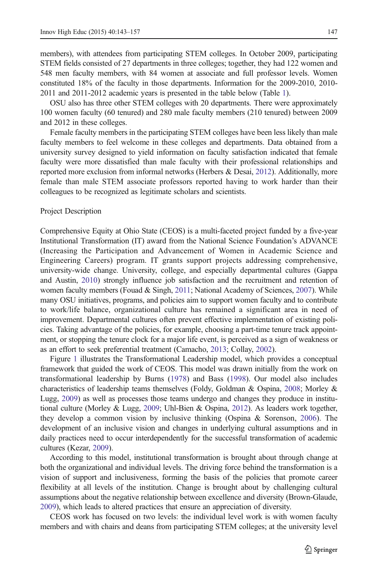members), with attendees from participating STEM colleges. In October 2009, participating STEM fields consisted of 27 departments in three colleges; together, they had 122 women and 548 men faculty members, with 84 women at associate and full professor levels. Women constituted 18% of the faculty in those departments. Information for the 2009-2010, 2010- 2011 and 2011-2012 academic years is presented in the table below (Table [1\)](#page-5-0).

OSU also has three other STEM colleges with 20 departments. There were approximately 100 women faculty (60 tenured) and 280 male faculty members (210 tenured) between 2009 and 2012 in these colleges.

Female faculty members in the participating STEM colleges have been less likely than male faculty members to feel welcome in these colleges and departments. Data obtained from a university survey designed to yield information on faculty satisfaction indicated that female faculty were more dissatisfied than male faculty with their professional relationships and reported more exclusion from informal networks (Herbers & Desai, [2012\)](#page-13-0). Additionally, more female than male STEM associate professors reported having to work harder than their colleagues to be recognized as legitimate scholars and scientists.

#### Project Description

Comprehensive Equity at Ohio State (CEOS) is a multi-faceted project funded by a five-year Institutional Transformation (IT) award from the National Science Foundation's ADVANCE (Increasing the Participation and Advancement of Women in Academic Science and Engineering Careers) program. IT grants support projects addressing comprehensive, university-wide change. University, college, and especially departmental cultures (Gappa and Austin, [2010](#page-13-0)) strongly influence job satisfaction and the recruitment and retention of women faculty members (Fouad & Singh, [2011;](#page-13-0) National Academy of Sciences, [2007\)](#page-14-0). While many OSU initiatives, programs, and policies aim to support women faculty and to contribute to work/life balance, organizational culture has remained a significant area in need of improvement. Departmental cultures often prevent effective implementation of existing policies. Taking advantage of the policies, for example, choosing a part-time tenure track appointment, or stopping the tenure clock for a major life event, is perceived as a sign of weakness or as an effort to seek preferential treatment (Camacho, [2013](#page-13-0); Collay, [2002](#page-13-0)).

Figure [1](#page-6-0) illustrates the Transformational Leadership model, which provides a conceptual framework that guided the work of CEOS. This model was drawn initially from the work on transformational leadership by Burns [\(1978](#page-13-0)) and Bass [\(1998](#page-12-0)). Our model also includes characteristics of leadership teams themselves (Foldy, Goldman & Ospina, [2008](#page-13-0); Morley & Lugg, [2009](#page-14-0)) as well as processes those teams undergo and changes they produce in institutional culture (Morley & Lugg, [2009](#page-14-0); Uhl-Bien & Ospina, [2012](#page-14-0)). As leaders work together, they develop a common vision by inclusive thinking (Ospina & Sorenson, [2006](#page-14-0)). The development of an inclusive vision and changes in underlying cultural assumptions and in daily practices need to occur interdependently for the successful transformation of academic cultures (Kezar, [2009](#page-13-0)).

According to this model, institutional transformation is brought about through change at both the organizational and individual levels. The driving force behind the transformation is a vision of support and inclusiveness, forming the basis of the policies that promote career flexibility at all levels of the institution. Change is brought about by challenging cultural assumptions about the negative relationship between excellence and diversity (Brown-Glaude, [2009](#page-12-0)), which leads to altered practices that ensure an appreciation of diversity.

CEOS work has focused on two levels: the individual level work is with women faculty members and with chairs and deans from participating STEM colleges; at the university level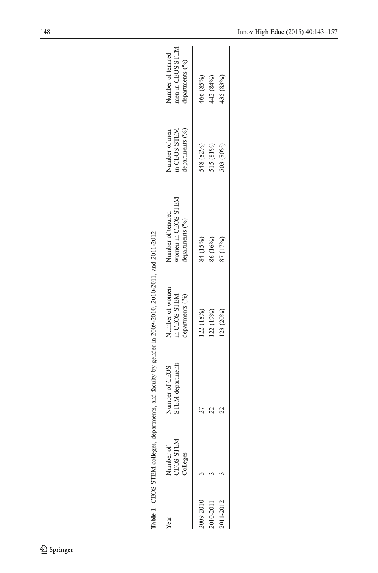<span id="page-5-0"></span>

|             | Table 1 CEOS STEM colleges, depr   | artments, and faculty by gender in 2009-2010, 2010-2011, and 2011-2012 |                                                    |                                                            |                                                  |                                                          |
|-------------|------------------------------------|------------------------------------------------------------------------|----------------------------------------------------|------------------------------------------------------------|--------------------------------------------------|----------------------------------------------------------|
| Year        | Number of<br>CEOS STEM<br>Colleges | STEM departments<br>Number of CEOS                                     | Number of women<br>departments (%)<br>in CEOS STEM | women in CEOS STEM<br>Number of tenured<br>departments (%) | in CEOS STEM<br>departments (%)<br>Number of men | men in CEOS STEM<br>Number of tenured<br>departments (%) |
| 009-2010    |                                    |                                                                        | 122 (18%)                                          | 84 (15%)                                                   | 548 (82%)                                        | 466 (85%)                                                |
| $010 - 201$ |                                    |                                                                        | 122(19%)                                           | 86 (16%)                                                   | 515 (81%)                                        | 42 (84%)                                                 |
| 011-2012    |                                    |                                                                        | 123 (20%)                                          | 87 (17%)                                                   | 503 (80%)                                        | 435 (83%)                                                |
|             |                                    |                                                                        |                                                    |                                                            |                                                  |                                                          |

| ĺ                       |
|-------------------------|
|                         |
| l                       |
|                         |
|                         |
|                         |
| l                       |
| l                       |
|                         |
|                         |
|                         |
|                         |
| l                       |
| ここく くっくも くっくも くくくも<br>l |
|                         |
|                         |
| ۱                       |
|                         |
|                         |
|                         |
|                         |
|                         |
|                         |
|                         |
|                         |
|                         |
| l                       |
|                         |
|                         |
|                         |
|                         |
|                         |
|                         |
|                         |
|                         |
|                         |
|                         |
|                         |
|                         |
|                         |
|                         |
|                         |
|                         |
|                         |
| $\overline{a}$          |
|                         |
|                         |
| l                       |
|                         |

 $\underline{\textcircled{\tiny 2}}$  Springer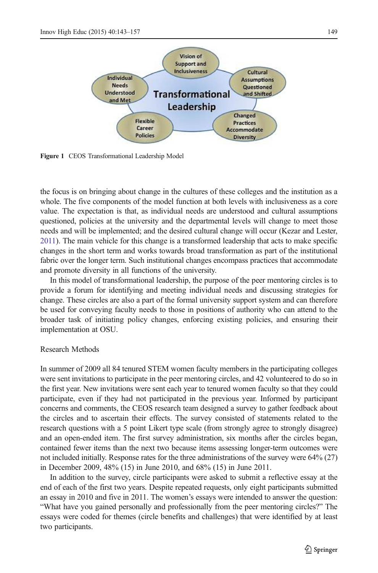<span id="page-6-0"></span>

Figure 1 CEOS Transformational Leadership Model

the focus is on bringing about change in the cultures of these colleges and the institution as a whole. The five components of the model function at both levels with inclusiveness as a core value. The expectation is that, as individual needs are understood and cultural assumptions questioned, policies at the university and the departmental levels will change to meet those needs and will be implemented; and the desired cultural change will occur (Kezar and Lester, [2011\)](#page-13-0). The main vehicle for this change is a transformed leadership that acts to make specific changes in the short term and works towards broad transformation as part of the institutional fabric over the longer term. Such institutional changes encompass practices that accommodate and promote diversity in all functions of the university.

In this model of transformational leadership, the purpose of the peer mentoring circles is to provide a forum for identifying and meeting individual needs and discussing strategies for change. These circles are also a part of the formal university support system and can therefore be used for conveying faculty needs to those in positions of authority who can attend to the broader task of initiating policy changes, enforcing existing policies, and ensuring their implementation at OSU.

## Research Methods

In summer of 2009 all 84 tenured STEM women faculty members in the participating colleges were sent invitations to participate in the peer mentoring circles, and 42 volunteered to do so in the first year. New invitations were sent each year to tenured women faculty so that they could participate, even if they had not participated in the previous year. Informed by participant concerns and comments, the CEOS research team designed a survey to gather feedback about the circles and to ascertain their effects. The survey consisted of statements related to the research questions with a 5 point Likert type scale (from strongly agree to strongly disagree) and an open-ended item. The first survey administration, six months after the circles began, contained fewer items than the next two because items assessing longer-term outcomes were not included initially. Response rates for the three administrations of the survey were 64% (27) in December 2009, 48% (15) in June 2010, and 68% (15) in June 2011.

In addition to the survey, circle participants were asked to submit a reflective essay at the end of each of the first two years. Despite repeated requests, only eight participants submitted an essay in 2010 and five in 2011. The women's essays were intended to answer the question: "What have you gained personally and professionally from the peer mentoring circles?" The essays were coded for themes (circle benefits and challenges) that were identified by at least two participants.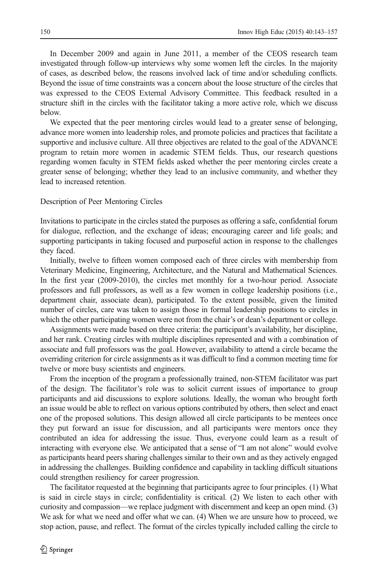In December 2009 and again in June 2011, a member of the CEOS research team investigated through follow-up interviews why some women left the circles. In the majority of cases, as described below, the reasons involved lack of time and/or scheduling conflicts. Beyond the issue of time constraints was a concern about the loose structure of the circles that was expressed to the CEOS External Advisory Committee. This feedback resulted in a structure shift in the circles with the facilitator taking a more active role, which we discuss below.

We expected that the peer mentoring circles would lead to a greater sense of belonging, advance more women into leadership roles, and promote policies and practices that facilitate a supportive and inclusive culture. All three objectives are related to the goal of the ADVANCE program to retain more women in academic STEM fields. Thus, our research questions regarding women faculty in STEM fields asked whether the peer mentoring circles create a greater sense of belonging; whether they lead to an inclusive community, and whether they lead to increased retention.

Description of Peer Mentoring Circles

Invitations to participate in the circles stated the purposes as offering a safe, confidential forum for dialogue, reflection, and the exchange of ideas; encouraging career and life goals; and supporting participants in taking focused and purposeful action in response to the challenges they faced.

Initially, twelve to fifteen women composed each of three circles with membership from Veterinary Medicine, Engineering, Architecture, and the Natural and Mathematical Sciences. In the first year (2009-2010), the circles met monthly for a two-hour period. Associate professors and full professors, as well as a few women in college leadership positions (i.e., department chair, associate dean), participated. To the extent possible, given the limited number of circles, care was taken to assign those in formal leadership positions to circles in which the other participating women were not from the chair's or dean's department or college.

Assignments were made based on three criteria: the participant's availability, her discipline, and her rank. Creating circles with multiple disciplines represented and with a combination of associate and full professors was the goal. However, availability to attend a circle became the overriding criterion for circle assignments as it was difficult to find a common meeting time for twelve or more busy scientists and engineers.

From the inception of the program a professionally trained, non-STEM facilitator was part of the design. The facilitator's role was to solicit current issues of importance to group participants and aid discussions to explore solutions. Ideally, the woman who brought forth an issue would be able to reflect on various options contributed by others, then select and enact one of the proposed solutions. This design allowed all circle participants to be mentees once they put forward an issue for discussion, and all participants were mentors once they contributed an idea for addressing the issue. Thus, everyone could learn as a result of interacting with everyone else. We anticipated that a sense of "I am not alone" would evolve as participants heard peers sharing challenges similar to their own and as they actively engaged in addressing the challenges. Building confidence and capability in tackling difficult situations could strengthen resiliency for career progression.

The facilitator requested at the beginning that participants agree to four principles. (1) What is said in circle stays in circle; confidentiality is critical. (2) We listen to each other with curiosity and compassion—we replace judgment with discernment and keep an open mind. (3) We ask for what we need and offer what we can. (4) When we are unsure how to proceed, we stop action, pause, and reflect. The format of the circles typically included calling the circle to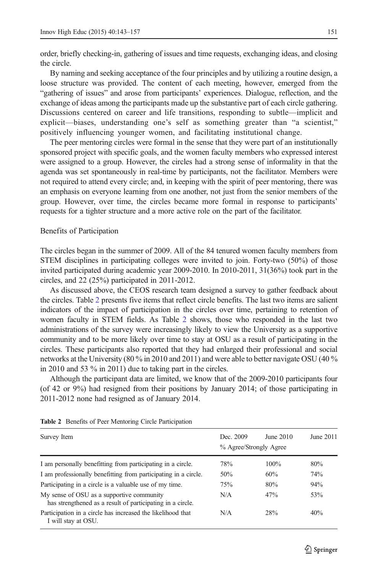order, briefly checking-in, gathering of issues and time requests, exchanging ideas, and closing the circle.

By naming and seeking acceptance of the four principles and by utilizing a routine design, a loose structure was provided. The content of each meeting, however, emerged from the "gathering of issues" and arose from participants' experiences. Dialogue, reflection, and the exchange of ideas among the participants made up the substantive part of each circle gathering. Discussions centered on career and life transitions, responding to subtle—implicit and explicit—biases, understanding one's self as something greater than "a scientist," positively influencing younger women, and facilitating institutional change.

The peer mentoring circles were formal in the sense that they were part of an institutionally sponsored project with specific goals, and the women faculty members who expressed interest were assigned to a group. However, the circles had a strong sense of informality in that the agenda was set spontaneously in real-time by participants, not the facilitator. Members were not required to attend every circle; and, in keeping with the spirit of peer mentoring, there was an emphasis on everyone learning from one another, not just from the senior members of the group. However, over time, the circles became more formal in response to participants' requests for a tighter structure and a more active role on the part of the facilitator.

#### Benefits of Participation

The circles began in the summer of 2009. All of the 84 tenured women faculty members from STEM disciplines in participating colleges were invited to join. Forty-two (50%) of those invited participated during academic year 2009-2010. In 2010-2011, 31(36%) took part in the circles, and 22 (25%) participated in 2011-2012.

As discussed above, the CEOS research team designed a survey to gather feedback about the circles. Table 2 presents five items that reflect circle benefits. The last two items are salient indicators of the impact of participation in the circles over time, pertaining to retention of women faculty in STEM fields. As Table 2 shows, those who responded in the last two administrations of the survey were increasingly likely to view the University as a supportive community and to be more likely over time to stay at OSU as a result of participating in the circles. These participants also reported that they had enlarged their professional and social networks at the University (80 % in 2010 and 2011) and were able to better navigate OSU (40 % in 2010 and 53 % in 2011) due to taking part in the circles.

Although the participant data are limited, we know that of the 2009-2010 participants four (of 42 or 9%) had resigned from their positions by January 2014; of those participating in 2011-2012 none had resigned as of January 2014.

| Survey Item                                                                                             | Dec. 2009<br>% Agree/Strongly Agree | June 2010 | June 2011 |
|---------------------------------------------------------------------------------------------------------|-------------------------------------|-----------|-----------|
| I am personally benefitting from participating in a circle.                                             | 78%                                 | 100%      | 80%       |
| I am professionally benefitting from participating in a circle.                                         | 50%                                 | 60%       | 74%       |
| Participating in a circle is a valuable use of my time.                                                 | 75%                                 | 80%       | 94%       |
| My sense of OSU as a supportive community<br>has strengthened as a result of participating in a circle. | N/A                                 | 47%       | 53%       |
| Participation in a circle has increased the likelihood that<br>I will stay at OSU.                      | N/A                                 | 28%       | 40%       |

Table 2 Benefits of Peer Mentoring Circle Participation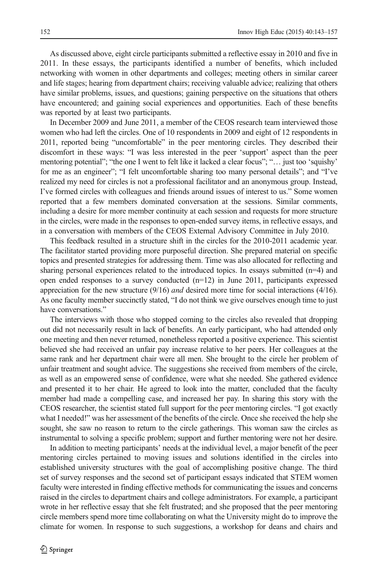As discussed above, eight circle participants submitted a reflective essay in 2010 and five in 2011. In these essays, the participants identified a number of benefits, which included networking with women in other departments and colleges; meeting others in similar career and life stages; hearing from department chairs; receiving valuable advice; realizing that others have similar problems, issues, and questions; gaining perspective on the situations that others have encountered; and gaining social experiences and opportunities. Each of these benefits was reported by at least two participants.

In December 2009 and June 2011, a member of the CEOS research team interviewed those women who had left the circles. One of 10 respondents in 2009 and eight of 12 respondents in 2011, reported being "uncomfortable" in the peer mentoring circles. They described their discomfort in these ways: "I was less interested in the peer 'support' aspect than the peer mentoring potential"; "the one I went to felt like it lacked a clear focus"; "... just too 'squishy' for me as an engineer"; "I felt uncomfortable sharing too many personal details"; and "I've realized my need for circles is not a professional facilitator and an anonymous group. Instead, I've formed circles with colleagues and friends around issues of interest to us." Some women reported that a few members dominated conversation at the sessions. Similar comments, including a desire for more member continuity at each session and requests for more structure in the circles, were made in the responses to open-ended survey items, in reflective essays, and in a conversation with members of the CEOS External Advisory Committee in July 2010.

This feedback resulted in a structure shift in the circles for the 2010-2011 academic year. The facilitator started providing more purposeful direction. She prepared material on specific topics and presented strategies for addressing them. Time was also allocated for reflecting and sharing personal experiences related to the introduced topics. In essays submitted  $(n=4)$  and open ended responses to a survey conducted  $(n=12)$  in June 2011, participants expressed appreciation for the new structure  $(9/16)$  and desired more time for social interactions  $(4/16)$ . As one faculty member succinctly stated, "I do not think we give ourselves enough time to just have conversations."

The interviews with those who stopped coming to the circles also revealed that dropping out did not necessarily result in lack of benefits. An early participant, who had attended only one meeting and then never returned, nonetheless reported a positive experience. This scientist believed she had received an unfair pay increase relative to her peers. Her colleagues at the same rank and her department chair were all men. She brought to the circle her problem of unfair treatment and sought advice. The suggestions she received from members of the circle, as well as an empowered sense of confidence, were what she needed. She gathered evidence and presented it to her chair. He agreed to look into the matter, concluded that the faculty member had made a compelling case, and increased her pay. In sharing this story with the CEOS researcher, the scientist stated full support for the peer mentoring circles. "I got exactly what I needed!" was her assessment of the benefits of the circle. Once she received the help she sought, she saw no reason to return to the circle gatherings. This woman saw the circles as instrumental to solving a specific problem; support and further mentoring were not her desire.

In addition to meeting participants' needs at the individual level, a major benefit of the peer mentoring circles pertained to moving issues and solutions identified in the circles into established university structures with the goal of accomplishing positive change. The third set of survey responses and the second set of participant essays indicated that STEM women faculty were interested in finding effective methods for communicating the issues and concerns raised in the circles to department chairs and college administrators. For example, a participant wrote in her reflective essay that she felt frustrated; and she proposed that the peer mentoring circle members spend more time collaborating on what the University might do to improve the climate for women. In response to such suggestions, a workshop for deans and chairs and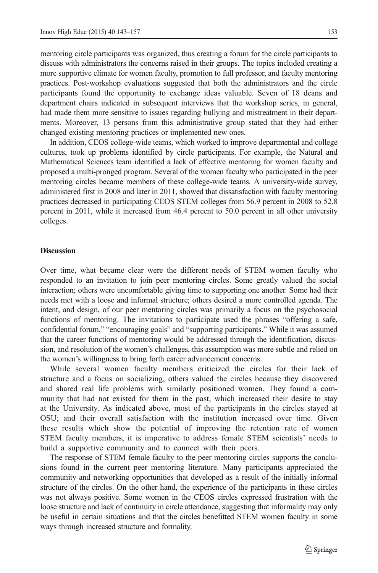mentoring circle participants was organized, thus creating a forum for the circle participants to discuss with administrators the concerns raised in their groups. The topics included creating a more supportive climate for women faculty, promotion to full professor, and faculty mentoring practices. Post-workshop evaluations suggested that both the administrators and the circle participants found the opportunity to exchange ideas valuable. Seven of 18 deans and department chairs indicated in subsequent interviews that the workshop series, in general, had made them more sensitive to issues regarding bullying and mistreatment in their departments. Moreover, 13 persons from this administrative group stated that they had either changed existing mentoring practices or implemented new ones.

In addition, CEOS college-wide teams, which worked to improve departmental and college cultures, took up problems identified by circle participants. For example, the Natural and Mathematical Sciences team identified a lack of effective mentoring for women faculty and proposed a multi-pronged program. Several of the women faculty who participated in the peer mentoring circles became members of these college-wide teams. A university-wide survey, administered first in 2008 and later in 2011, showed that dissatisfaction with faculty mentoring practices decreased in participating CEOS STEM colleges from 56.9 percent in 2008 to 52.8 percent in 2011, while it increased from 46.4 percent to 50.0 percent in all other university colleges.

## **Discussion**

Over time, what became clear were the different needs of STEM women faculty who responded to an invitation to join peer mentoring circles. Some greatly valued the social interaction; others were uncomfortable giving time to supporting one another. Some had their needs met with a loose and informal structure; others desired a more controlled agenda. The intent, and design, of our peer mentoring circles was primarily a focus on the psychosocial functions of mentoring. The invitations to participate used the phrases "offering a safe, confidential forum," "encouraging goals" and "supporting participants." While it was assumed that the career functions of mentoring would be addressed through the identification, discussion, and resolution of the women's challenges, this assumption was more subtle and relied on the women's willingness to bring forth career advancement concerns.

While several women faculty members criticized the circles for their lack of structure and a focus on socializing, others valued the circles because they discovered and shared real life problems with similarly positioned women. They found a community that had not existed for them in the past, which increased their desire to stay at the University. As indicated above, most of the participants in the circles stayed at OSU; and their overall satisfaction with the institution increased over time. Given these results which show the potential of improving the retention rate of women STEM faculty members, it is imperative to address female STEM scientists' needs to build a supportive community and to connect with their peers.

The response of STEM female faculty to the peer mentoring circles supports the conclusions found in the current peer mentoring literature. Many participants appreciated the community and networking opportunities that developed as a result of the initially informal structure of the circles. On the other hand, the experience of the participants in these circles was not always positive. Some women in the CEOS circles expressed frustration with the loose structure and lack of continuity in circle attendance, suggesting that informality may only be useful in certain situations and that the circles benefitted STEM women faculty in some ways through increased structure and formality.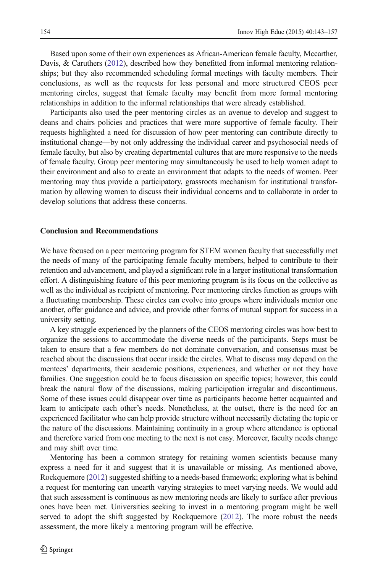Based upon some of their own experiences as African-American female faculty, Mccarther, Davis, & Caruthers ([2012](#page-13-0)), described how they benefitted from informal mentoring relationships; but they also recommended scheduling formal meetings with faculty members. Their conclusions, as well as the requests for less personal and more structured CEOS peer mentoring circles, suggest that female faculty may benefit from more formal mentoring relationships in addition to the informal relationships that were already established.

Participants also used the peer mentoring circles as an avenue to develop and suggest to deans and chairs policies and practices that were more supportive of female faculty. Their requests highlighted a need for discussion of how peer mentoring can contribute directly to institutional change—by not only addressing the individual career and psychosocial needs of female faculty, but also by creating departmental cultures that are more responsive to the needs of female faculty. Group peer mentoring may simultaneously be used to help women adapt to their environment and also to create an environment that adapts to the needs of women. Peer mentoring may thus provide a participatory, grassroots mechanism for institutional transformation by allowing women to discuss their individual concerns and to collaborate in order to develop solutions that address these concerns.

#### Conclusion and Recommendations

We have focused on a peer mentoring program for STEM women faculty that successfully met the needs of many of the participating female faculty members, helped to contribute to their retention and advancement, and played a significant role in a larger institutional transformation effort. A distinguishing feature of this peer mentoring program is its focus on the collective as well as the individual as recipient of mentoring. Peer mentoring circles function as groups with a fluctuating membership. These circles can evolve into groups where individuals mentor one another, offer guidance and advice, and provide other forms of mutual support for success in a university setting.

A key struggle experienced by the planners of the CEOS mentoring circles was how best to organize the sessions to accommodate the diverse needs of the participants. Steps must be taken to ensure that a few members do not dominate conversation, and consensus must be reached about the discussions that occur inside the circles. What to discuss may depend on the mentees' departments, their academic positions, experiences, and whether or not they have families. One suggestion could be to focus discussion on specific topics; however, this could break the natural flow of the discussions, making participation irregular and discontinuous. Some of these issues could disappear over time as participants become better acquainted and learn to anticipate each other's needs. Nonetheless, at the outset, there is the need for an experienced facilitator who can help provide structure without necessarily dictating the topic or the nature of the discussions. Maintaining continuity in a group where attendance is optional and therefore varied from one meeting to the next is not easy. Moreover, faculty needs change and may shift over time.

Mentoring has been a common strategy for retaining women scientists because many express a need for it and suggest that it is unavailable or missing. As mentioned above, Rockquemore [\(2012](#page-14-0)) suggested shifting to a needs-based framework; exploring what is behind a request for mentoring can unearth varying strategies to meet varying needs. We would add that such assessment is continuous as new mentoring needs are likely to surface after previous ones have been met. Universities seeking to invest in a mentoring program might be well served to adopt the shift suggested by Rockquemore [\(2012\)](#page-14-0). The more robust the needs assessment, the more likely a mentoring program will be effective.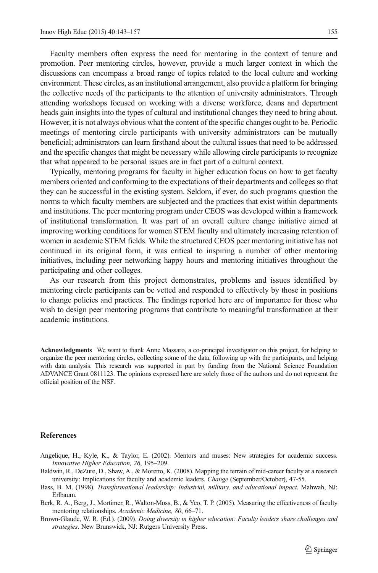<span id="page-12-0"></span>Faculty members often express the need for mentoring in the context of tenure and promotion. Peer mentoring circles, however, provide a much larger context in which the discussions can encompass a broad range of topics related to the local culture and working environment. These circles, as an institutional arrangement, also provide a platform for bringing the collective needs of the participants to the attention of university administrators. Through attending workshops focused on working with a diverse workforce, deans and department heads gain insights into the types of cultural and institutional changes they need to bring about. However, it is not always obvious what the content of the specific changes ought to be. Periodic meetings of mentoring circle participants with university administrators can be mutually beneficial; administrators can learn firsthand about the cultural issues that need to be addressed and the specific changes that might be necessary while allowing circle participants to recognize that what appeared to be personal issues are in fact part of a cultural context.

Typically, mentoring programs for faculty in higher education focus on how to get faculty members oriented and conforming to the expectations of their departments and colleges so that they can be successful in the existing system. Seldom, if ever, do such programs question the norms to which faculty members are subjected and the practices that exist within departments and institutions. The peer mentoring program under CEOS was developed within a framework of institutional transformation. It was part of an overall culture change initiative aimed at improving working conditions for women STEM faculty and ultimately increasing retention of women in academic STEM fields. While the structured CEOS peer mentoring initiative has not continued in its original form, it was critical to inspiring a number of other mentoring initiatives, including peer networking happy hours and mentoring initiatives throughout the participating and other colleges.

As our research from this project demonstrates, problems and issues identified by mentoring circle participants can be vetted and responded to effectively by those in positions to change policies and practices. The findings reported here are of importance for those who wish to design peer mentoring programs that contribute to meaningful transformation at their academic institutions.

Acknowledgments We want to thank Anne Massaro, a co-principal investigator on this project, for helping to organize the peer mentoring circles, collecting some of the data, following up with the participants, and helping with data analysis. This research was supported in part by funding from the National Science Foundation ADVANCE Grant 0811123. The opinions expressed here are solely those of the authors and do not represent the official position of the NSF.

#### **References**

- Angelique, H., Kyle, K., & Taylor, E. (2002). Mentors and muses: New strategies for academic success. Innovative Higher Education, 26, 195–209.
- Baldwin, R., DeZure, D., Shaw, A., & Moretto, K. (2008). Mapping the terrain of mid-career faculty at a research university: Implications for faculty and academic leaders. Change (September/October), 47-55.
- Bass, B. M. (1998). Transformational leadership: Industrial, military, and educational impact. Mahwah, NJ: Erlbaum.
- Berk, R. A., Berg, J., Mortimer, R., Walton-Moss, B., & Yeo, T. P. (2005). Measuring the effectiveness of faculty mentoring relationships. Academic Medicine, 80, 66–71.
- Brown-Glaude, W. R. (Ed.). (2009). Doing diversity in higher education: Faculty leaders share challenges and strategies. New Brunswick, NJ: Rutgers University Press.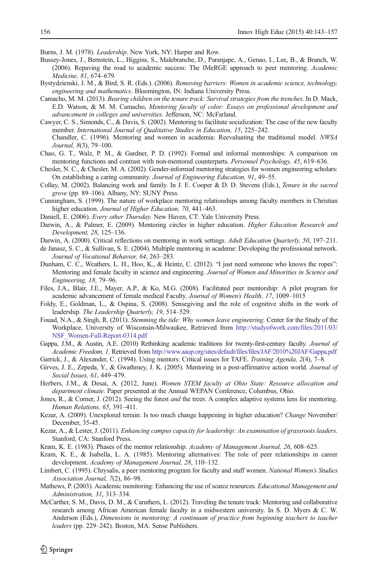<span id="page-13-0"></span>Burns, J. M. (1978). Leadership. New York, NY: Harper and Row.

- Bussey-Jones, J., Bernstein, L., Higgins, S., Malebranche, D., Paranjape, A., Genao, I., Lee, B., & Branch, W. (2006). Repaving the road to academic success: The IMeRGE approach to peer mentoring. Academic Medicine, 81, 674–679.
- Bystydzienski, J. M., & Bird, S. R. (Eds.). (2006). Removing barriers: Women in academic science, technology, engineering and mathematics. Bloomington, IN: Indiana University Press.
- Camacho, M. M. (2013). Bearing children on the tenure track: Survival strategies from the trenches. In D. Mack, E.D. Watson, & M. M. Camacho, Mentoring faculty of color: Essays on professional development and advancement in colleges and universities. Jefferson, NC: McFarland.
- Cawyer, C. S., Simonds, C., & Davis, S. (2002). Mentoring to facilitate socialization: The case of the new faculty member. International Journal of Qualitative Studies in Education, 15, 225–242. Chandler, C. (1996). Mentoring and women in academia: Reevaluating the traditional model. NWSA Journal, 8(3), 79–100.
- Chao, G. T., Walz, P. M., & Gardner, P. D. (1992). Formal and informal mentorships: A comparison on mentoring functions and contrast with non-mentored counterparts. Personnel Psychology, 45, 619–636.
- Chesler, N. C., & Chesler, M. A. (2002). Gender-informed mentoring strategies for women engineering scholars: On establishing a caring community. Journal of Engineering Education, 91, 49–55.
- Collay, M. (2002). Balancing work and family. In J. E. Cooper & D. D. Stevens (Eds.), Tenure in the sacred grove (pp. 89–106). Albany, NY: SUNY Press.
- Cunningham, S. (1999). The nature of workplace mentoring relationships among faculty members in Christian higher education. Journal of Higher Education, 70, 441–463.
- Daniell, E. (2006). Every other Thursday. New Haven, CT: Yale University Press.
- Darwin, A., & Palmer, E. (2009). Mentoring circles in higher education. Higher Education Research and Development, 28, 125–136.
- Darwin, A. (2000). Critical reflections on mentoring in work settings. Adult Education Quarterly, 50, 197-211.
- de Janasz, S. C., & Sullivan, S. E. (2004). Multiple mentoring in academe: Developing the professional network. Journal of Vocational Behavior, 64, 263–283.
- Dunham, C. C., Weathers, L. H., Hoo, K., & Heintz, C. (2012). "I just need someone who knows the ropes": Mentoring and female faculty in science and engineering. Journal of Women and Minorities in Science and Engineering, 18, 79–96.
- Files, J.A., Blair, J.E., Mayer, A.P., & Ko, M.G. (2008). Facilitated peer mentorship: A pilot program for academic advancement of female medical Faculty. Journal of Women's Health, 17, 1009–1015
- Foldy, E., Goldman, L., & Ospina, S. (2008). Sensegiving and the role of cognitive shifts in the work of leadership. The Leadership Quarterly, 19, 514–529.
- Fouad, N.A., & Singh, R. (2011). Stemming the tide: Why women leave engineering. Center for the Study of the Workplace, University of Wisconsin-Milwaukee, Retrieved from [http://studyofwork.com/files/2011/03/](http://studyofwork.com/files/2011/03/NSF_Women-Full-Report-0314.pdf) [NSF\\_Women-Full-Report-0314.pdf](http://studyofwork.com/files/2011/03/NSF_Women-Full-Report-0314.pdf)
- Gappa, J.M., & Austin, A.E. (2010) Rethinking academic traditions for twenty-first-century faculty. Journal of Academic Freedom, 1. Retrieved from <http://www.aaup.org/sites/default/files/files/JAF/2010%20JAF/Gappa.pdf>
- Garrick, J., & Alexander, C. (1994). Using mentors: Critical issues for TAFE. Training Agenda, 2(4), 7–8.
- Girves, J. E., Zepeda, Y., & Gwathmey, J. K. (2005). Mentoring in a post-affirmative action world. Journal of Social Issues, 61, 449–479.
- Herbers, J.M., & Desai, A. (2012, June). Women STEM faculty at Ohio State: Resource allocation and department climate. Paper presented at the Annual WEPAN Conference, Columbus, Ohio.
- Jones, R., & Corner, J. (2012). Seeing the forest *and* the trees: A complex adaptive systems lens for mentoring. Human Relations, 65, 391–411.
- Kezar, A. (2009). Unexplored terrain: Is too much change happening in higher education? Change November/ December, 35-45.
- Kezar, A., & Lester, J. (2011). Enhancing campus capacity for leadership: An examination of grassroots leaders. Stanford, CA: Stanford Press.
- Kram, K. E. (1983). Phases of the mentor relationship. Academy of Management Journal, 26, 608–625.
- Kram, K. E., & Isabella, L. A. (1985). Mentoring alternatives: The role of peer relationships in career development. Academy of Management Journal, 28, 110–132.
- Limbert, C. (1995). Chrysalis, a peer mentoring program for faculty and staff women. National Women's Studies Association Journal, 7(2), 86–98.
- Mathews, P. (2003). Academic monitoring: Enhancing the use of scarce resources. *Educational Management and* Administration, 31, 313–334.
- McCarther, S. M., Davis, D. M., & Caruthers, L. (2012). Traveling the tenure track: Mentoring and collaborative research among African American female faculty in a midwestern university. In S. D. Myers & C. W. Anderson (Eds.), Dimensions in mentoring: A continuum of practice from beginning teachers to teacher leaders (pp. 229–242). Boston, MA: Sense Publishers.